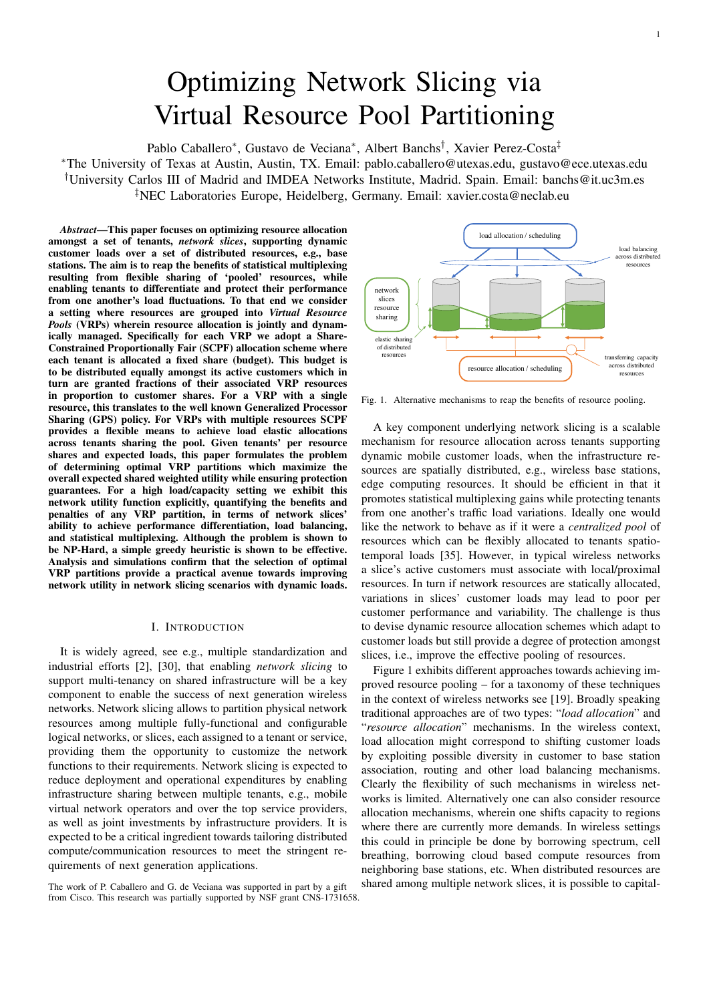# Optimizing Network Slicing via Virtual Resource Pool Partitioning

Pablo Caballero\*, Gustavo de Veciana\*, Albert Banchs<sup>†</sup>, Xavier Perez-Costa<sup>‡</sup>

<sup>∗</sup>The University of Texas at Austin, Austin, TX. Email: pablo.caballero@utexas.edu, gustavo@ece.utexas.edu †University Carlos III of Madrid and IMDEA Networks Institute, Madrid. Spain. Email: banchs@it.uc3m.es ‡NEC Laboratories Europe, Heidelberg, Germany. Email: xavier.costa@neclab.eu

*Abstract*—This paper focuses on optimizing resource allocation amongst a set of tenants, *network slices*, supporting dynamic customer loads over a set of distributed resources, e.g., base stations. The aim is to reap the benefits of statistical multiplexing resulting from flexible sharing of 'pooled' resources, while enabling tenants to differentiate and protect their performance from one another's load fluctuations. To that end we consider a setting where resources are grouped into *Virtual Resource Pools* (VRPs) wherein resource allocation is jointly and dynamically managed. Specifically for each VRP we adopt a Share-Constrained Proportionally Fair (SCPF) allocation scheme where each tenant is allocated a fixed share (budget). This budget is to be distributed equally amongst its active customers which in turn are granted fractions of their associated VRP resources in proportion to customer shares. For a VRP with a single resource, this translates to the well known Generalized Processor Sharing (GPS) policy. For VRPs with multiple resources SCPF provides a flexible means to achieve load elastic allocations across tenants sharing the pool. Given tenants' per resource shares and expected loads, this paper formulates the problem of determining optimal VRP partitions which maximize the overall expected shared weighted utility while ensuring protection guarantees. For a high load/capacity setting we exhibit this network utility function explicitly, quantifying the benefits and penalties of any VRP partition, in terms of network slices' ability to achieve performance differentiation, load balancing, and statistical multiplexing. Although the problem is shown to be NP-Hard, a simple greedy heuristic is shown to be effective. Analysis and simulations confirm that the selection of optimal VRP partitions provide a practical avenue towards improving network utility in network slicing scenarios with dynamic loads.

### I. INTRODUCTION

It is widely agreed, see e.g., multiple standardization and industrial efforts [2], [30], that enabling *network slicing* to support multi-tenancy on shared infrastructure will be a key component to enable the success of next generation wireless networks. Network slicing allows to partition physical network resources among multiple fully-functional and configurable logical networks, or slices, each assigned to a tenant or service, providing them the opportunity to customize the network functions to their requirements. Network slicing is expected to reduce deployment and operational expenditures by enabling infrastructure sharing between multiple tenants, e.g., mobile virtual network operators and over the top service providers, as well as joint investments by infrastructure providers. It is expected to be a critical ingredient towards tailoring distributed compute/communication resources to meet the stringent requirements of next generation applications.

from Cisco. This research was partially supported by NSF grant CNS-1731658.



Fig. 1. Alternative mechanisms to reap the benefits of resource pooling.

A key component underlying network slicing is a scalable mechanism for resource allocation across tenants supporting dynamic mobile customer loads, when the infrastructure resources are spatially distributed, e.g., wireless base stations, edge computing resources. It should be efficient in that it promotes statistical multiplexing gains while protecting tenants from one another's traffic load variations. Ideally one would like the network to behave as if it were a *centralized pool* of resources which can be flexibly allocated to tenants spatiotemporal loads [35]. However, in typical wireless networks a slice's active customers must associate with local/proximal resources. In turn if network resources are statically allocated, variations in slices' customer loads may lead to poor per customer performance and variability. The challenge is thus to devise dynamic resource allocation schemes which adapt to customer loads but still provide a degree of protection amongst slices, i.e., improve the effective pooling of resources.

Figure 1 exhibits different approaches towards achieving improved resource pooling – for a taxonomy of these techniques in the context of wireless networks see [19]. Broadly speaking traditional approaches are of two types: "*load allocation*" and "*resource allocation*" mechanisms. In the wireless context, load allocation might correspond to shifting customer loads by exploiting possible diversity in customer to base station association, routing and other load balancing mechanisms. Clearly the flexibility of such mechanisms in wireless networks is limited. Alternatively one can also consider resource allocation mechanisms, wherein one shifts capacity to regions where there are currently more demands. In wireless settings this could in principle be done by borrowing spectrum, cell breathing, borrowing cloud based compute resources from neighboring base stations, etc. When distributed resources are The work of P. Caballero and G. de Veciana was supported in part by a gift shared among multiple network slices, it is possible to capital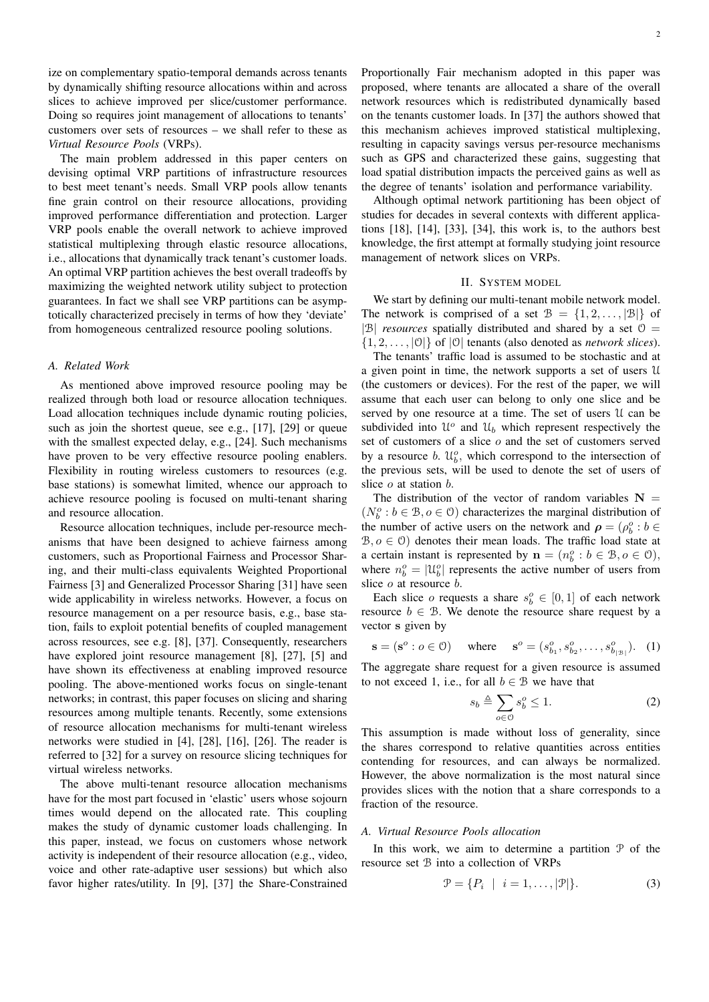ize on complementary spatio-temporal demands across tenants by dynamically shifting resource allocations within and across slices to achieve improved per slice/customer performance. Doing so requires joint management of allocations to tenants' customers over sets of resources – we shall refer to these as *Virtual Resource Pools* (VRPs).

The main problem addressed in this paper centers on devising optimal VRP partitions of infrastructure resources to best meet tenant's needs. Small VRP pools allow tenants fine grain control on their resource allocations, providing improved performance differentiation and protection. Larger VRP pools enable the overall network to achieve improved statistical multiplexing through elastic resource allocations, i.e., allocations that dynamically track tenant's customer loads. An optimal VRP partition achieves the best overall tradeoffs by maximizing the weighted network utility subject to protection guarantees. In fact we shall see VRP partitions can be asymptotically characterized precisely in terms of how they 'deviate' from homogeneous centralized resource pooling solutions.

# *A. Related Work*

As mentioned above improved resource pooling may be realized through both load or resource allocation techniques. Load allocation techniques include dynamic routing policies, such as join the shortest queue, see e.g., [17], [29] or queue with the smallest expected delay, e.g., [24]. Such mechanisms have proven to be very effective resource pooling enablers. Flexibility in routing wireless customers to resources (e.g. base stations) is somewhat limited, whence our approach to achieve resource pooling is focused on multi-tenant sharing and resource allocation.

Resource allocation techniques, include per-resource mechanisms that have been designed to achieve fairness among customers, such as Proportional Fairness and Processor Sharing, and their multi-class equivalents Weighted Proportional Fairness [3] and Generalized Processor Sharing [31] have seen wide applicability in wireless networks. However, a focus on resource management on a per resource basis, e.g., base station, fails to exploit potential benefits of coupled management across resources, see e.g. [8], [37]. Consequently, researchers have explored joint resource management [8], [27], [5] and have shown its effectiveness at enabling improved resource pooling. The above-mentioned works focus on single-tenant networks; in contrast, this paper focuses on slicing and sharing resources among multiple tenants. Recently, some extensions of resource allocation mechanisms for multi-tenant wireless networks were studied in [4], [28], [16], [26]. The reader is referred to [32] for a survey on resource slicing techniques for virtual wireless networks.

The above multi-tenant resource allocation mechanisms have for the most part focused in 'elastic' users whose sojourn times would depend on the allocated rate. This coupling makes the study of dynamic customer loads challenging. In this paper, instead, we focus on customers whose network activity is independent of their resource allocation (e.g., video, voice and other rate-adaptive user sessions) but which also favor higher rates/utility. In [9], [37] the Share-Constrained

Proportionally Fair mechanism adopted in this paper was proposed, where tenants are allocated a share of the overall network resources which is redistributed dynamically based on the tenants customer loads. In [37] the authors showed that this mechanism achieves improved statistical multiplexing, resulting in capacity savings versus per-resource mechanisms such as GPS and characterized these gains, suggesting that load spatial distribution impacts the perceived gains as well as the degree of tenants' isolation and performance variability.

Although optimal network partitioning has been object of studies for decades in several contexts with different applications [18], [14], [33], [34], this work is, to the authors best knowledge, the first attempt at formally studying joint resource management of network slices on VRPs.

## II. SYSTEM MODEL

We start by defining our multi-tenant mobile network model. The network is comprised of a set  $\mathcal{B} = \{1, 2, \ldots, |\mathcal{B}|\}$  of  $|\mathcal{B}|$  *resources* spatially distributed and shared by a set  $\mathcal{O}$  =  $\{1, 2, \ldots, |0|\}$  of  $|0|$  tenants (also denoted as *network slices*).

The tenants' traffic load is assumed to be stochastic and at a given point in time, the network supports a set of users U (the customers or devices). For the rest of the paper, we will assume that each user can belong to only one slice and be served by one resource at a time. The set of users U can be subdivided into  $\mathcal{U}^o$  and  $\mathcal{U}_b$  which represent respectively the set of customers of a slice o and the set of customers served by a resource b.  $\mathcal{U}_b^o$ , which correspond to the intersection of the previous sets, will be used to denote the set of users of slice  $o$  at station  $b$ .

The distribution of the vector of random variables  $N =$  $(N_b^o : b \in \mathcal{B}, o \in \mathcal{O})$  characterizes the marginal distribution of the number of active users on the network and  $\rho = (\rho_b^o : b \in$  $B, o \in \mathcal{O}$  denotes their mean loads. The traffic load state at a certain instant is represented by  $\mathbf{n} = (n_b^o : b \in \mathcal{B}, o \in \mathcal{O}),$ where  $n_b^o = |\mathcal{U}_b^o|$  represents the active number of users from slice  $o$  at resource  $b$ .

Each slice  $o$  requests a share  $s_b^o \in [0,1]$  of each network resource  $b \in \mathcal{B}$ . We denote the resource share request by a vector s given by

$$
\mathbf{s} = (\mathbf{s}^o : o \in \mathcal{O}) \quad \text{where} \quad \mathbf{s}^o = (s^o_{b_1}, s^o_{b_2}, \dots, s^o_{b_{|\mathcal{B}|}}). \quad (1)
$$

The aggregate share request for a given resource is assumed to not exceed 1, i.e., for all  $b \in \mathcal{B}$  we have that

$$
s_b \triangleq \sum_{o \in \mathcal{O}} s_b^o \le 1. \tag{2}
$$

This assumption is made without loss of generality, since the shares correspond to relative quantities across entities contending for resources, and can always be normalized. However, the above normalization is the most natural since provides slices with the notion that a share corresponds to a fraction of the resource.

## *A. Virtual Resource Pools allocation*

In this work, we aim to determine a partition  $P$  of the resource set B into a collection of VRPs

$$
\mathcal{P} = \{P_i \mid i = 1, \dots, |\mathcal{P}|\}.
$$
 (3)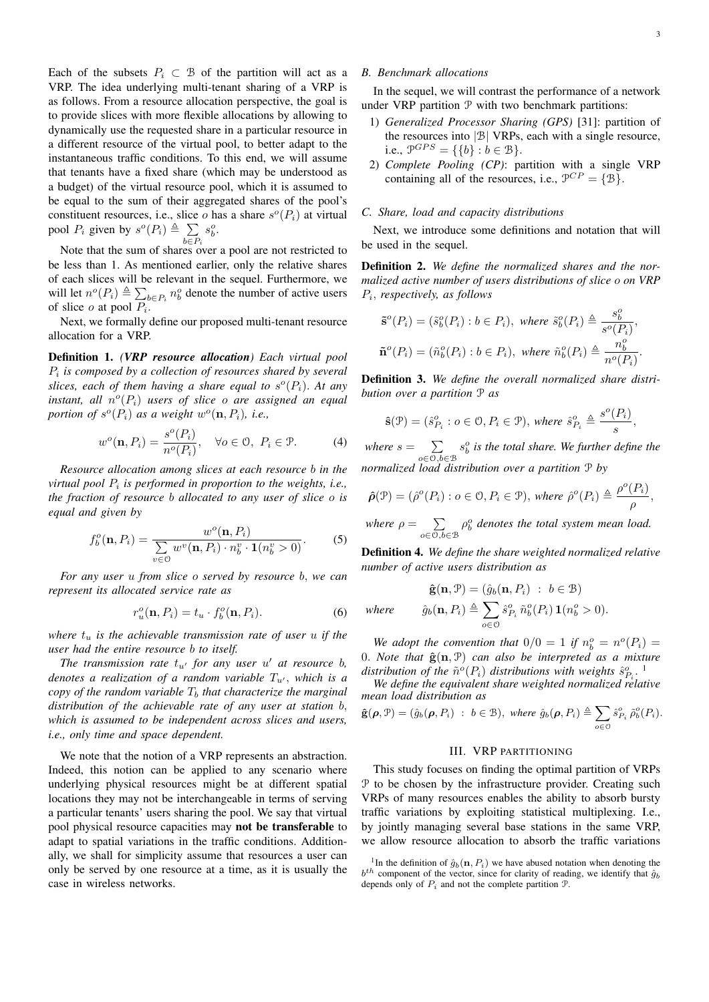Each of the subsets  $P_i \subset \mathcal{B}$  of the partition will act as a VRP. The idea underlying multi-tenant sharing of a VRP is as follows. From a resource allocation perspective, the goal is to provide slices with more flexible allocations by allowing to dynamically use the requested share in a particular resource in a different resource of the virtual pool, to better adapt to the instantaneous traffic conditions. To this end, we will assume that tenants have a fixed share (which may be understood as a budget) of the virtual resource pool, which it is assumed to be equal to the sum of their aggregated shares of the pool's constituent resources, i.e., slice o has a share  $s^o(P_i)$  at virtual pool  $P_i$  given by  $s^o(P_i) \triangleq \sum$  $b \in P_i$  $s_b^o$ .

Note that the sum of shares over a pool are not restricted to be less than 1. As mentioned earlier, only the relative shares of each slices will be relevant in the sequel. Furthermore, we will let  $n^o(P_i) \triangleq \sum_{b \in P_i} n_b^o$  denote the number of active users of slice  $o$  at pool  $P_i$ .

Next, we formally define our proposed multi-tenant resource allocation for a VRP.

Definition 1. *(VRP resource allocation) Each virtual pool* Pi *is composed by a collection of resources shared by several* slices, each of them having a share equal to  $s^o(P_i)$ . At any  $\tilde{a}$  *instant, all*  $n^o(P_i)$  *users of slice*  $o$  *are assigned an equal* portion of  $s^o(P_i)$  as a weight  $w^o(\mathbf{n}, P_i)$ , i.e.,

$$
w^{o}(\mathbf{n}, P_{i}) = \frac{s^{o}(P_{i})}{n^{o}(P_{i})}, \quad \forall o \in \mathcal{O}, \ P_{i} \in \mathcal{P}.
$$
 (4)

*Resource allocation among slices at each resource* b *in the virtual pool* P<sup>i</sup> *is performed in proportion to the weights, i.e., the fraction of resource* b *allocated to any user of slice* o *is equal and given by*

$$
f_b^o(\mathbf{n}, P_i) = \frac{w^o(\mathbf{n}, P_i)}{\sum_{v \in \mathcal{O}} w^v(\mathbf{n}, P_i) \cdot n_b^v \cdot \mathbf{1}(n_b^v > 0)}.
$$
 (5)

*For any user* u *from slice* o *served by resource* b, *we can represent its allocated service rate as*

$$
r_u^o(\mathbf{n}, P_i) = t_u \cdot f_b^o(\mathbf{n}, P_i). \tag{6}
$$

*where*  $t_u$  *is the achievable transmission rate of user u if the user had the entire resource* b *to itself.*

*The transmission rate*  $t_{u'}$  *for any user*  $u'$  *at resource b*, *denotes a realization of a random variable*  $T_{u'}$ , *which is a copy of the random variable*  $T<sub>b</sub>$  *that characterize the marginal distribution of the achievable rate of any user at station* b, *which is assumed to be independent across slices and users, i.e., only time and space dependent.*

We note that the notion of a VRP represents an abstraction. Indeed, this notion can be applied to any scenario where underlying physical resources might be at different spatial locations they may not be interchangeable in terms of serving a particular tenants' users sharing the pool. We say that virtual pool physical resource capacities may not be transferable to adapt to spatial variations in the traffic conditions. Additionally, we shall for simplicity assume that resources a user can only be served by one resource at a time, as it is usually the case in wireless networks.

## *B. Benchmark allocations*

In the sequel, we will contrast the performance of a network under VRP partition  $P$  with two benchmark partitions:

- 1) *Generalized Processor Sharing (GPS)* [31]: partition of the resources into |B| VRPs, each with a single resource, i.e.,  $\mathcal{P}^{GPS} = \{\{b\} : b \in \mathcal{B}\}.$
- 2) *Complete Pooling (CP)*: partition with a single VRP containing all of the resources, i.e.,  $\mathcal{P}^{CP} = \{ \mathcal{B} \}.$

#### *C. Share, load and capacity distributions*

Next, we introduce some definitions and notation that will be used in the sequel.

Definition 2. *We define the normalized shares and the normalized active number of users distributions of slice* o *on VRP* Pi , *respectively, as follows*

$$
\begin{aligned} &\tilde{\mathbf{s}}^o(P_i) = (\tilde{s}_b^o(P_i) : b \in P_i), \text{ where } \tilde{s}_b^o(P_i) \triangleq \frac{s_b^o}{s^o(P_i)},\\ &\tilde{\mathbf{n}}^o(P_i) = (\tilde{n}_b^o(P_i) : b \in P_i), \text{ where } \tilde{n}_b^o(P_i) \triangleq \frac{n_b^o}{n^o(P_i)}. \end{aligned}
$$

Definition 3. *We define the overall normalized share distribution over a partition* P *as*

$$
\widehat{\mathbf{s}}(\mathcal{P})=(\widehat{s}^o_{P_i}:o\in\mathcal{O},P_i\in\mathcal{P}),\,\text{where}\,\,\widehat{s}^o_{P_i}\triangleq\frac{s^o(P_i)}{s},
$$

*where*  $s = \sum$ o∈O,b∈B  $s_b^o$  is the total share. We further define the *normalized load distribution over a partition* P *by*

$$
\hat{\rho}(\mathcal{P}) = (\hat{\rho}^o(P_i) : o \in \mathcal{O}, P_i \in \mathcal{P}), \text{ where } \hat{\rho}^o(P_i) \triangleq \frac{\rho^o(P_i)}{\rho},
$$

*where*  $\rho = \sum$ o∈O,b∈B  $\rho_b^o$  denotes the total system mean load.

Definition 4. *We define the share weighted normalized relative number of active users distribution as*

$$
\hat{\mathbf{g}}(\mathbf{n}, \mathcal{P}) = (\hat{g}_b(\mathbf{n}, P_i) : b \in \mathcal{B})
$$
  
where 
$$
\hat{g}_b(\mathbf{n}, P_i) \triangleq \sum_{o \in \mathcal{O}} \hat{s}_{P_i}^o \tilde{n}_b^o(P_i) \mathbf{1}(n_b^o > 0).
$$

We adopt the convention that  $0/0 = 1$  if  $n_b^o = n^o(P_i) =$ 0. *Note that*  $\hat{\mathbf{g}}(\mathbf{n}, \mathcal{P})$  *can also be interpreted as a mixture* distribution of the  $\tilde{n}^o(P_i)$  distributions with weights  $\hat{s}_{P_i}^o$ .

*We define the equivalent share weighted normalized relative mean load distribution as*

$$
\hat{\mathbf{g}}(\boldsymbol{\rho},\mathcal{P})=(\hat{g}_b(\boldsymbol{\rho},P_i)\;:\;b\in\mathcal{B}),\;\text{where}\;\hat{g}_b(\boldsymbol{\rho},P_i)\triangleq\sum_{o\in\mathcal{O}}\hat{s}_{P_i}^o\,\tilde{\rho}_b^o(P_i).
$$

### III. VRP PARTITIONING

This study focuses on finding the optimal partition of VRPs P to be chosen by the infrastructure provider. Creating such VRPs of many resources enables the ability to absorb bursty traffic variations by exploiting statistical multiplexing. I.e., by jointly managing several base stations in the same VRP, we allow resource allocation to absorb the traffic variations

<sup>&</sup>lt;sup>1</sup>In the definition of  $\hat{g}_b(\mathbf{n}, P_i)$  we have abused notation when denoting the  $b<sup>th</sup>$  component of the vector, since for clarity of reading, we identify that  $\hat{g}_b$ depends only of  $P_i$  and not the complete partition  $P_i$ .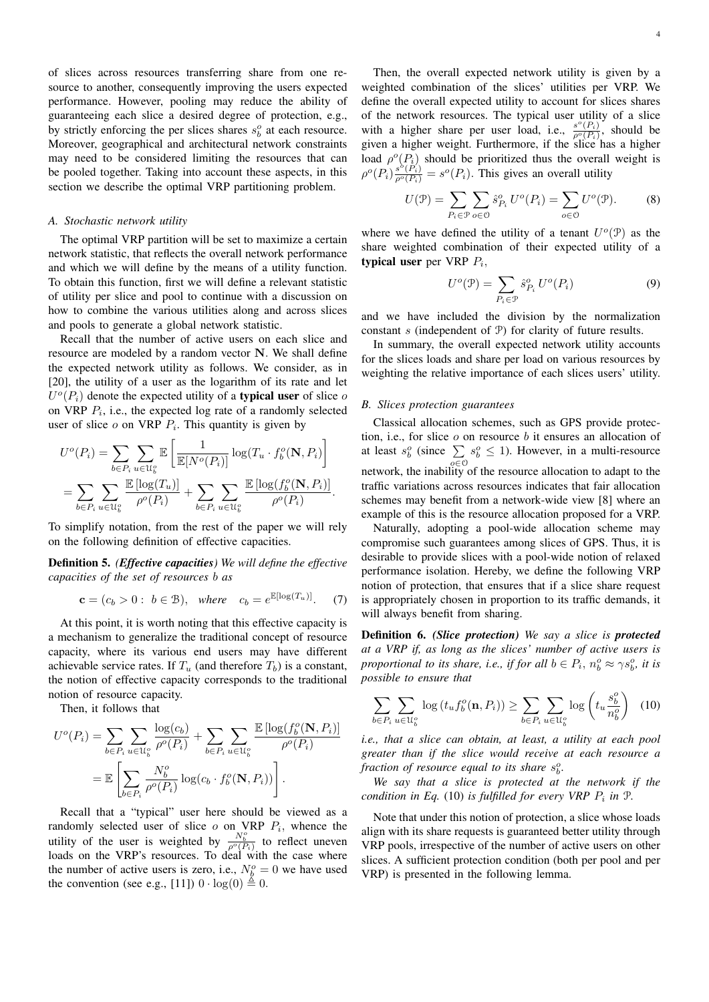of slices across resources transferring share from one resource to another, consequently improving the users expected performance. However, pooling may reduce the ability of guaranteeing each slice a desired degree of protection, e.g., by strictly enforcing the per slices shares  $s_b^o$  at each resource. Moreover, geographical and architectural network constraints may need to be considered limiting the resources that can be pooled together. Taking into account these aspects, in this section we describe the optimal VRP partitioning problem.

## *A. Stochastic network utility*

The optimal VRP partition will be set to maximize a certain network statistic, that reflects the overall network performance and which we will define by the means of a utility function. To obtain this function, first we will define a relevant statistic of utility per slice and pool to continue with a discussion on how to combine the various utilities along and across slices and pools to generate a global network statistic.

Recall that the number of active users on each slice and resource are modeled by a random vector N. We shall define the expected network utility as follows. We consider, as in [20], the utility of a user as the logarithm of its rate and let  $U^o(P_i)$  denote the expected utility of a **typical user** of slice of on VRP  $P_i$ , i.e., the expected log rate of a randomly selected user of slice  $o$  on VRP  $P_i$ . This quantity is given by

$$
U^{o}(P_{i}) = \sum_{b \in P_{i}} \sum_{u \in \mathcal{U}_{b}^{o}} \mathbb{E}\left[\frac{1}{\mathbb{E}[N^{o}(P_{i})]} \log(T_{u} \cdot f_{b}^{o}(\mathbf{N}, P_{i}))\right]
$$
  
= 
$$
\sum_{b \in P_{i}} \sum_{u \in \mathcal{U}_{b}^{o}} \frac{\mathbb{E}\left[\log(T_{u})\right]}{\rho^{o}(P_{i})} + \sum_{b \in P_{i}} \sum_{u \in \mathcal{U}_{b}^{o}} \frac{\mathbb{E}\left[\log(f_{b}^{o}(\mathbf{N}, P_{i})\right]}{\rho^{o}(P_{i})}.
$$

To simplify notation, from the rest of the paper we will rely on the following definition of effective capacities.

Definition 5. *(Effective capacities) We will define the effective capacities of the set of resources* b *as*

$$
\mathbf{c} = (c_b > 0: b \in \mathcal{B}), \text{ where } c_b = e^{\mathbb{E}[\log(T_u)]}. \tag{7}
$$

At this point, it is worth noting that this effective capacity is a mechanism to generalize the traditional concept of resource capacity, where its various end users may have different achievable service rates. If  $T_u$  (and therefore  $T_b$ ) is a constant, the notion of effective capacity corresponds to the traditional notion of resource capacity.

Then, it follows that

$$
U^{o}(P_{i}) = \sum_{b \in P_{i}} \sum_{u \in \mathcal{U}_{b}^{o}} \frac{\log(c_{b})}{\rho^{o}(P_{i})} + \sum_{b \in P_{i}} \sum_{u \in \mathcal{U}_{b}^{o}} \frac{\mathbb{E} \left[ \log(f_{b}^{o}(\mathbf{N}, P_{i}) \right]}{\rho^{o}(P_{i})}
$$

$$
= \mathbb{E} \left[ \sum_{b \in P_{i}} \frac{N_{b}^{o}}{\rho^{o}(P_{i})} \log(c_{b} \cdot f_{b}^{o}(\mathbf{N}, P_{i})) \right].
$$

Recall that a "typical" user here should be viewed as a randomly selected user of slice  $o$  on VRP  $P_i$ , whence the utility of the user is weighted by  $\frac{N_b^o}{\rho^o(P_i)}$  to reflect uneven loads on the VRP's resources. To deal with the case where the number of active users is zero, i.e.,  $N_b^o = 0$  we have used the convention (see e.g., [11])  $0 \cdot \log(0) \stackrel{\underline{\mathbb{A}}}{=} 0$ .

Then, the overall expected network utility is given by a weighted combination of the slices' utilities per VRP. We define the overall expected utility to account for slices shares of the network resources. The typical user utility of a slice with a higher share per user load, i.e.,  $\frac{s^o(P_i)}{\rho^o(P_i)}$ , should be given a higher weight. Furthermore, if the slice has a higher load  $\rho^o(P_i)$  should be prioritized thus the overall weight is  $\rho^o(P_i) \frac{s^{\delta}(\tilde{P}_i)}{\rho^o(P_i)} = s^o(P_i)$ . This gives an overall utility

$$
U(\mathcal{P}) = \sum_{P_i \in \mathcal{P}} \sum_{o \in \mathcal{O}} \hat{s}_{P_i}^o U^o(P_i) = \sum_{o \in \mathcal{O}} U^o(\mathcal{P}). \tag{8}
$$

where we have defined the utility of a tenant  $U^o(\mathcal{P})$  as the share weighted combination of their expected utility of a typical user per VRP  $P_i$ ,

$$
U^{o}(\mathcal{P}) = \sum_{P_i \in \mathcal{P}} \hat{s}_{P_i}^{o} U^{o}(P_i)
$$
 (9)

and we have included the division by the normalization constant  $s$  (independent of  $\mathcal{P}$ ) for clarity of future results.

In summary, the overall expected network utility accounts for the slices loads and share per load on various resources by weighting the relative importance of each slices users' utility.

#### *B. Slices protection guarantees*

Classical allocation schemes, such as GPS provide protection, i.e., for slice  $o$  on resource  $b$  it ensures an allocation of at least  $s_b^o$  (since  $\sum$ o∈O  $s_b^o \leq 1$ ). However, in a multi-resource network, the inability of the resource allocation to adapt to the traffic variations across resources indicates that fair allocation schemes may benefit from a network-wide view [8] where an example of this is the resource allocation proposed for a VRP.

Naturally, adopting a pool-wide allocation scheme may compromise such guarantees among slices of GPS. Thus, it is desirable to provide slices with a pool-wide notion of relaxed performance isolation. Hereby, we define the following VRP notion of protection, that ensures that if a slice share request is appropriately chosen in proportion to its traffic demands, it will always benefit from sharing.

Definition 6. *(Slice protection) We say a slice is protected at a VRP if, as long as the slices' number of active users is proportional to its share, i.e., if for all*  $b \in P_i$ ,  $n_b^o \approx \gamma s_b^o$ , *it is possible to ensure that*

$$
\sum_{b \in P_i} \sum_{u \in \mathcal{U}_b^o} \log \left( t_u f_b^o(\mathbf{n}, P_i) \right) \ge \sum_{b \in P_i} \sum_{u \in \mathcal{U}_b^o} \log \left( t_u \frac{s_b^o}{n_b^o} \right) \tag{10}
$$

*i.e., that a slice can obtain, at least, a utility at each pool greater than if the slice would receive at each resource a* fraction of resource equal to its share  $s_b^o$ .

*We say that a slice is protected at the network if the condition in Eq.* (10) *is fulfilled for every VRP*  $P_i$  *in*  $P_i$ .

Note that under this notion of protection, a slice whose loads align with its share requests is guaranteed better utility through VRP pools, irrespective of the number of active users on other slices. A sufficient protection condition (both per pool and per VRP) is presented in the following lemma.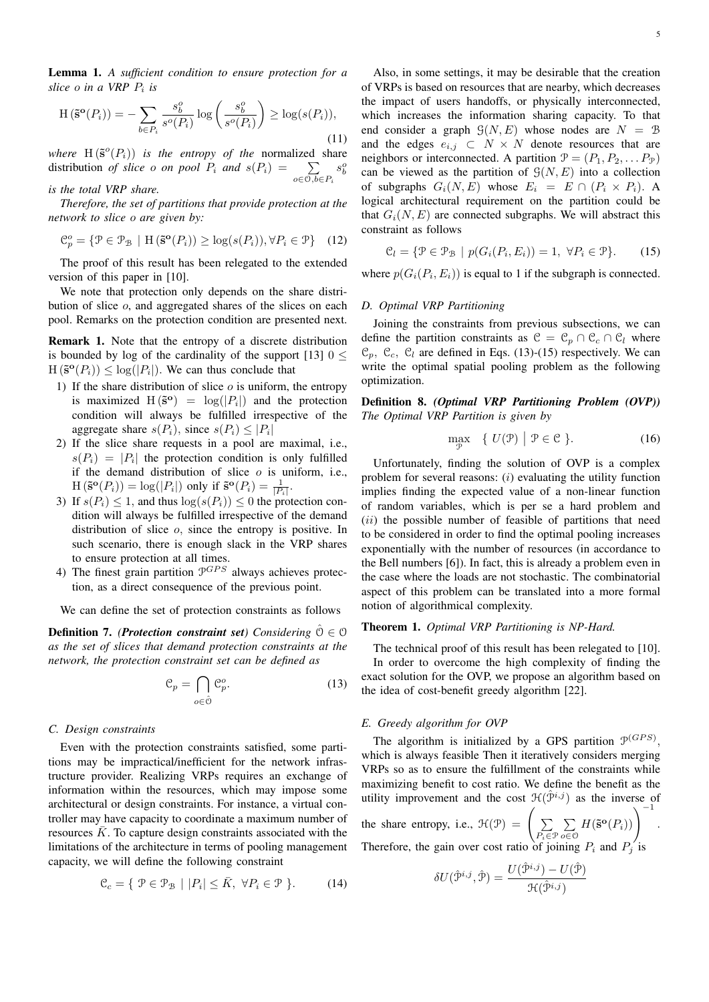Lemma 1. *A sufficient condition to ensure protection for a slice* o *in a VRP* P<sup>i</sup> *is*

$$
H\left(\tilde{\mathbf{s}}^{\mathbf{o}}(P_i)\right) = -\sum_{b \in P_i} \frac{s_b^o}{s^o(P_i)} \log\left(\frac{s_b^o}{s^o(P_i)}\right) \ge \log(s(P_i)),\tag{11}
$$

*where*  $H(\tilde{s}^o(P_i))$  *is the entropy of the normalized share* distribution *of slice o on pool*  $P_i$  *and*  $s(P_i) = \sum$  $o \in \mathcal{O}, b \in P_i$  $s_b^o$ 

# *is the total VRP share.*

*Therefore, the set of partitions that provide protection at the network to slice* o *are given by:*

$$
\mathcal{C}_p^o = \{ \mathcal{P} \in \mathcal{P}_{\mathcal{B}} \mid \mathcal{H} \left( \tilde{\mathbf{s}}^{\mathbf{o}}(P_i) \right) \ge \log(s(P_i)), \forall P_i \in \mathcal{P} \} \quad (12)
$$

The proof of this result has been relegated to the extended version of this paper in [10].

We note that protection only depends on the share distribution of slice o, and aggregated shares of the slices on each pool. Remarks on the protection condition are presented next.

Remark 1. Note that the entropy of a discrete distribution is bounded by log of the cardinality of the support [13]  $0 \le$  $H(\mathbf{S}^{\mathbf{o}}(P_i)) \leq \log(|P_i|)$ . We can thus conclude that

- 1) If the share distribution of slice  $o$  is uniform, the entropy is maximized  $H(\tilde{s}^{\circ}) = \log(|P_i|)$  and the protection condition will always be fulfilled irrespective of the aggregate share  $s(P_i)$ , since  $s(P_i) \leq |P_i|$
- 2) If the slice share requests in a pool are maximal, i.e.,  $s(P_i) = |P_i|$  the protection condition is only fulfilled if the demand distribution of slice  $o$  is uniform, i.e.,  $H(\mathbf{S}^{\mathbf{o}}(P_i)) = \log(|P_i|)$  only if  $\mathbf{S}^{\mathbf{o}}(P_i) = \frac{1}{|P_i|}$ .
- 3) If  $s(P_i) \leq 1$ , and thus  $\log(s(P_i)) \leq 0$  the protection condition will always be fulfilled irrespective of the demand distribution of slice o, since the entropy is positive. In such scenario, there is enough slack in the VRP shares to ensure protection at all times.
- 4) The finest grain partition  $\mathcal{P}^{GPS}$  always achieves protection, as a direct consequence of the previous point.

We can define the set of protection constraints as follows

**Definition 7.** *(Protection constraint set) Considering*  $\hat{\theta} \in \Theta$ *as the set of slices that demand protection constraints at the network, the protection constraint set can be defined as*

$$
\mathcal{C}_p = \bigcap_{o \in \hat{\mathcal{O}}} \mathcal{C}_p^o. \tag{13}
$$

### *C. Design constraints*

Even with the protection constraints satisfied, some partitions may be impractical/inefficient for the network infrastructure provider. Realizing VRPs requires an exchange of information within the resources, which may impose some architectural or design constraints. For instance, a virtual controller may have capacity to coordinate a maximum number of resources  $\bar{K}$ . To capture design constraints associated with the limitations of the architecture in terms of pooling management capacity, we will define the following constraint

$$
\mathcal{C}_c = \{ \mathcal{P} \in \mathcal{P}_{\mathcal{B}} \mid |P_i| \le \bar{K}, \ \forall P_i \in \mathcal{P} \}. \tag{14}
$$

Also, in some settings, it may be desirable that the creation of VRPs is based on resources that are nearby, which decreases the impact of users handoffs, or physically interconnected, which increases the information sharing capacity. To that end consider a graph  $\mathcal{G}(N, E)$  whose nodes are  $N = \mathcal{B}$ and the edges  $e_{i,j} \subset N \times N$  denote resources that are neighbors or interconnected. A partition  $\mathcal{P} = (P_1, P_2, \dots P_{\mathcal{P}})$ can be viewed as the partition of  $\mathcal{G}(N, E)$  into a collection of subgraphs  $G_i(N, E)$  whose  $E_i = E \cap (P_i \times P_i)$ . A logical architectural requirement on the partition could be that  $G_i(N, E)$  are connected subgraphs. We will abstract this constraint as follows

$$
\mathcal{C}_l = \{ \mathcal{P} \in \mathcal{P}_{\mathcal{B}} \mid p(G_i(P_i, E_i)) = 1, \ \forall P_i \in \mathcal{P} \}. \tag{15}
$$

where  $p(G_i(P_i, E_i))$  is equal to 1 if the subgraph is connected.

## *D. Optimal VRP Partitioning*

Joining the constraints from previous subsections, we can define the partition constraints as  $\mathcal{C} = \mathcal{C}_p \cap \mathcal{C}_c \cap \mathcal{C}_l$  where  $\mathcal{C}_p$ ,  $\mathcal{C}_c$ ,  $\mathcal{C}_l$  are defined in Eqs. (13)-(15) respectively. We can write the optimal spatial pooling problem as the following optimization.

Definition 8. *(Optimal VRP Partitioning Problem (OVP)) The Optimal VRP Partition is given by*

$$
\max_{\mathcal{P}} \quad \{ \ U(\mathcal{P}) \mid \mathcal{P} \in \mathcal{C} \ \}. \tag{16}
$$

Unfortunately, finding the solution of OVP is a complex problem for several reasons:  $(i)$  evaluating the utility function implies finding the expected value of a non-linear function of random variables, which is per se a hard problem and  $(ii)$  the possible number of feasible of partitions that need to be considered in order to find the optimal pooling increases exponentially with the number of resources (in accordance to the Bell numbers [6]). In fact, this is already a problem even in the case where the loads are not stochastic. The combinatorial aspect of this problem can be translated into a more formal notion of algorithmical complexity.

#### Theorem 1. *Optimal VRP Partitioning is NP-Hard.*

The technical proof of this result has been relegated to [10]. In order to overcome the high complexity of finding the exact solution for the OVP, we propose an algorithm based on the idea of cost-benefit greedy algorithm [22].

#### *E. Greedy algorithm for OVP*

The algorithm is initialized by a GPS partition  $\mathcal{P}^{(GPS)}$ , which is always feasible Then it iteratively considers merging VRPs so as to ensure the fulfillment of the constraints while maximizing benefit to cost ratio. We define the benefit as the utility improvement and the cost  $\mathcal{H}(\mathcal{P}^{i,j})$  as the inverse of

the share entropy, i.e., 
$$
\mathcal{H}(\mathcal{P}) = \left(\sum_{P_i \in \mathcal{P}} \sum_{o \in \mathcal{O}} H(\tilde{\mathbf{s}}^{\mathbf{o}}(P_i))\right)^{-1}
$$
.  
Therefore, the gain over cost ratio of joining  $P_i$  and  $P_j$  is

$$
\delta U(\hat{\mathcal{P}}^{i,j}, \hat{\mathcal{P}}) = \frac{U(\hat{\mathcal{P}}^{i,j}) - U(\hat{\mathcal{P}})}{\mathcal{H}(\hat{\mathcal{P}}^{i,j})}
$$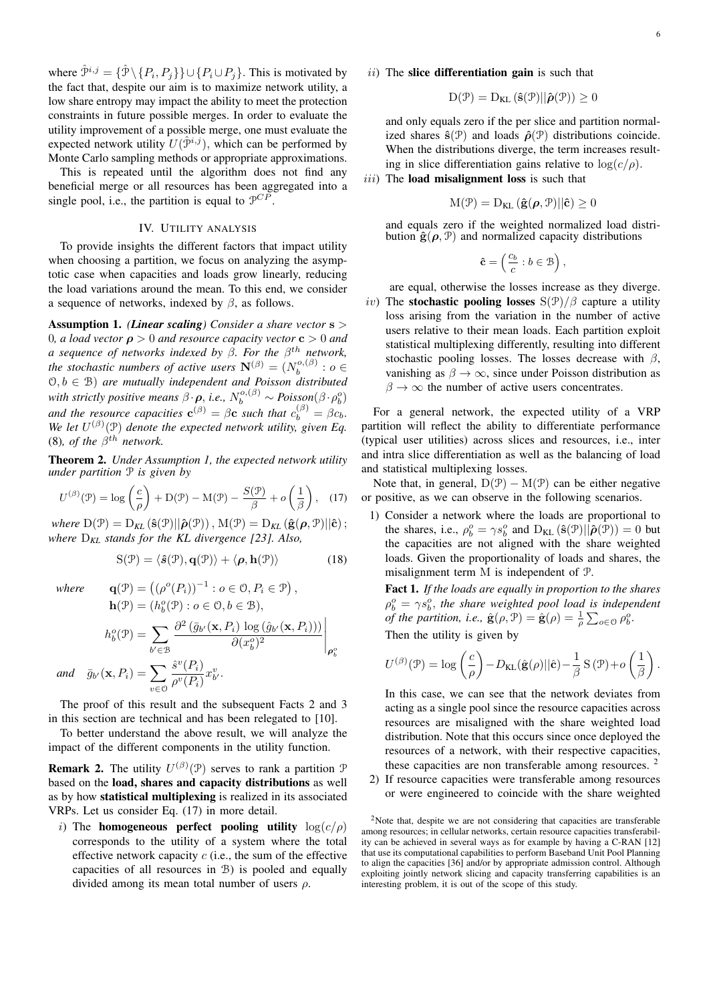where  $\hat{\mathcal{P}}^{i,j} = \{ \hat{\mathcal{P}} \setminus \{P_i, P_j\} \} \cup \{ P_i \cup P_j \}.$  This is motivated by the fact that, despite our aim is to maximize network utility, a low share entropy may impact the ability to meet the protection constraints in future possible merges. In order to evaluate the utility improvement of a possible merge, one must evaluate the expected network utility  $U(\hat{\mathcal{P}}^{i,j})$ , which can be performed by Monte Carlo sampling methods or appropriate approximations.

This is repeated until the algorithm does not find any beneficial merge or all resources has been aggregated into a single pool, i.e., the partition is equal to  $\mathcal{P}^{CP}$ .

# IV. UTILITY ANALYSIS

To provide insights the different factors that impact utility when choosing a partition, we focus on analyzing the asymptotic case when capacities and loads grow linearly, reducing the load variations around the mean. To this end, we consider a sequence of networks, indexed by  $\beta$ , as follows.

Assumption 1. *(Linear scaling) Consider a share vector* s > 0*, a load vector*  $\rho > 0$  *and resource capacity vector*  $c > 0$  *and a sequence of networks indexed by* β*. For the* β th *network, the stochastic numbers of active users*  $\mathbf{N}^{(\beta)} = (N_h^{o,(\beta)} : o \in$  $(0, b \in \mathcal{B})$  *are mutually independent and Poisson distributed* with strictly positive means  $\beta \cdot \rho$ , *i.e.*,  $N_b^{o,(\beta)} \sim Poisson(\beta \cdot \rho_b^o)$ and the resource capacities  $\mathbf{c}^{(\beta)} = \beta \mathbf{c}$  such that  $c_b^{(\beta)} = \beta c_b$ . We let  $U^{(\beta)}(\mathcal{P})$  denote the expected network utility, given Eq. (8), of the  $\beta^{th}$  network.

Theorem 2. *Under Assumption 1, the expected network utility under partition* P *is given by*

$$
U^{(\beta)}(\mathcal{P}) = \log\left(\frac{c}{\rho}\right) + D(\mathcal{P}) - M(\mathcal{P}) - \frac{S(\mathcal{P})}{\beta} + o\left(\frac{1}{\beta}\right), \quad (17)
$$

*where*  $D(\mathcal{P}) = D_{KL}(\hat{\mathbf{s}}(\mathcal{P})||\hat{\boldsymbol{\rho}}(\mathcal{P}))$ ,  $M(\mathcal{P}) = D_{KL}(\hat{\mathbf{g}}(\boldsymbol{\rho}, \mathcal{P})||\hat{\mathbf{c}})$ ; *where* D*KL stands for the KL divergence [23]. Also,*

$$
S(\mathcal{P}) = \langle \hat{\mathbf{s}}(\mathcal{P}), \mathbf{q}(\mathcal{P}) \rangle + \langle \boldsymbol{\rho}, \mathbf{h}(\mathcal{P}) \rangle \tag{18}
$$

where 
$$
\mathbf{q}(\mathcal{P}) = ((\rho^o(P_i))^{-1} : o \in \mathcal{O}, P_i \in \mathcal{P}),
$$

$$
\mathbf{h}(\mathcal{P}) = (h_b^o(\mathcal{P}) : o \in \mathcal{O}, b \in \mathcal{B}),
$$

$$
h_b^o(\mathcal{P}) = \sum_{b' \in \mathcal{B}} \frac{\partial^2 (\bar{g}_{b'}(\mathbf{x}, P_i) \log (\hat{g}_{b'}(\mathbf{x}, P_i)))}{\partial (x_b^o)^2} \Bigg|_{\rho_b^o}
$$
  
and 
$$
\bar{g}_{b'}(\mathbf{x}, P_i) = \sum_{v \in \mathcal{O}} \frac{\hat{s}^v(P_i)}{\rho^v(P_i)} x_{b'}^v.
$$

The proof of this result and the subsequent Facts 2 and 3 in this section are technical and has been relegated to [10].

To better understand the above result, we will analyze the impact of the different components in the utility function.

**Remark 2.** The utility  $U^{(\beta)}(\mathcal{P})$  serves to rank a partition  $\mathcal{P}$ based on the load, shares and capacity distributions as well as by how statistical multiplexing is realized in its associated VRPs. Let us consider Eq. (17) in more detail.

i) The homogeneous perfect pooling utility  $log(c/\rho)$ corresponds to the utility of a system where the total effective network capacity  $c$  (i.e., the sum of the effective capacities of all resources in B) is pooled and equally divided among its mean total number of users  $\rho$ .

## $ii)$  The slice differentiation gain is such that

$$
D(\mathcal{P}) = D_{KL}(\hat{\mathbf{s}}(\mathcal{P})||\hat{\boldsymbol{\rho}}(\mathcal{P})) \ge 0
$$

and only equals zero if the per slice and partition normalized shares  $\hat{\mathbf{s}}(\mathcal{P})$  and loads  $\hat{\rho}(\mathcal{P})$  distributions coincide. When the distributions diverge, the term increases resulting in slice differentiation gains relative to  $log(c/\rho)$ .

## $iii)$  The **load misalignment** loss is such that

$$
M(\mathcal{P}) = D_{KL}(\hat{\mathbf{g}}(\boldsymbol{\rho}, \mathcal{P}) || \hat{\mathbf{c}}) \ge 0
$$

and equals zero if the weighted normalized load distribution  $\hat{\mathbf{g}}(\boldsymbol{\rho}, \mathcal{P})$  and normalized capacity distributions

$$
\hat{\mathbf{c}} = \left(\frac{c_b}{c} : b \in \mathcal{B}\right),
$$

are equal, otherwise the losses increase as they diverge.

iv) The stochastic pooling losses  $S(\mathcal{P})/\beta$  capture a utility loss arising from the variation in the number of active users relative to their mean loads. Each partition exploit statistical multiplexing differently, resulting into different stochastic pooling losses. The losses decrease with  $\beta$ , vanishing as  $\beta \to \infty$ , since under Poisson distribution as  $\beta \to \infty$  the number of active users concentrates.

For a general network, the expected utility of a VRP partition will reflect the ability to differentiate performance (typical user utilities) across slices and resources, i.e., inter and intra slice differentiation as well as the balancing of load and statistical multiplexing losses.

Note that, in general,  $D(\mathcal{P}) - M(\mathcal{P})$  can be either negative or positive, as we can observe in the following scenarios.

1) Consider a network where the loads are proportional to the shares, i.e.,  $\rho_b^o = \gamma s_b^o$  and  $D_{KL}(\hat{s}(\mathcal{P})||\hat{\rho}(\mathcal{P})) = 0$  but the capacities are not aligned with the share weighted loads. Given the proportionality of loads and shares, the misalignment term M is independent of P.

Fact 1. *If the loads are equally in proportion to the shares*  $\rho_b^o = \gamma s_b^o$ , the share weighted pool load is independent *of the partition, i.e.,*  $\hat{\mathbf{g}}(\rho, \mathcal{P}) = \hat{\mathbf{g}}(\rho) = \frac{1}{\rho} \sum_{o \in \mathcal{O}} \rho_b^o$ . Then the utility is given by

$$
U^{(\beta)}(\mathcal{P}) = \log\left(\frac{c}{\rho}\right) - D_{\text{KL}}(\hat{\mathbf{g}}(\rho)||\hat{\mathbf{c}}) - \frac{1}{\beta} S(\mathcal{P}) + o\left(\frac{1}{\beta}\right).
$$

In this case, we can see that the network deviates from acting as a single pool since the resource capacities across resources are misaligned with the share weighted load distribution. Note that this occurs since once deployed the resources of a network, with their respective capacities, these capacities are non transferable among resources.  $2$ 

2) If resource capacities were transferable among resources or were engineered to coincide with the share weighted

<sup>2</sup>Note that, despite we are not considering that capacities are transferable among resources; in cellular networks, certain resource capacities transferability can be achieved in several ways as for example by having a C-RAN [12] that use its computational capabilities to perform Baseband Unit Pool Planning to align the capacities [36] and/or by appropriate admission control. Although exploiting jointly network slicing and capacity transferring capabilities is an interesting problem, it is out of the scope of this study.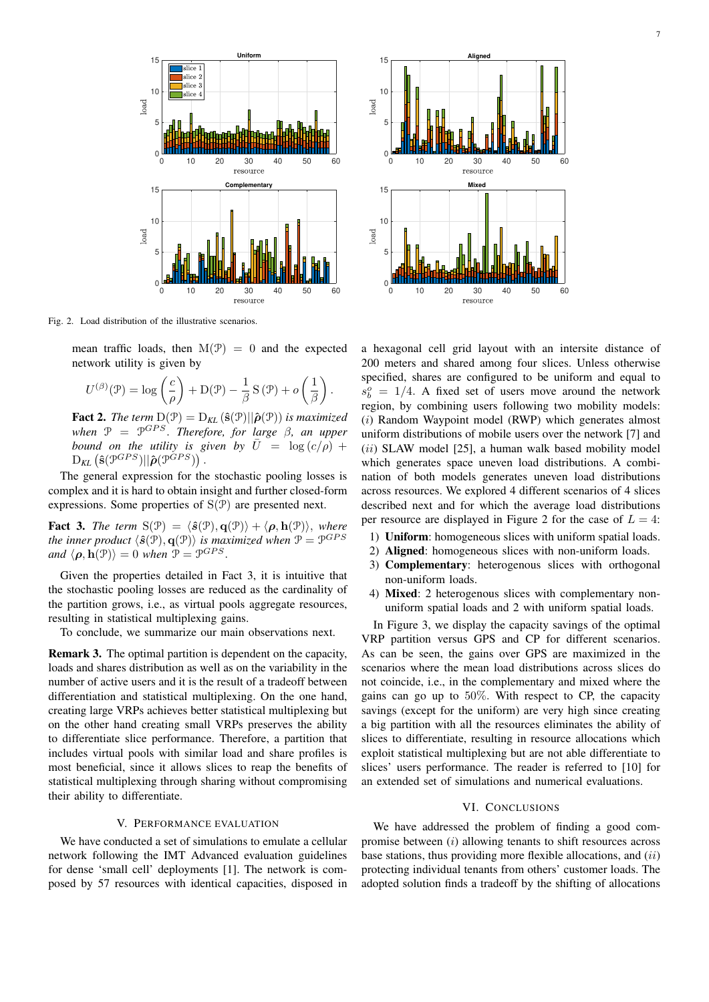

Fig. 2. Load distribution of the illustrative scenarios.

mean traffic loads, then  $M(\mathcal{P}) = 0$  and the expected network utility is given by

$$
U^{(\beta)}(\mathcal{P}) = \log\left(\frac{c}{\rho}\right) + D(\mathcal{P}) - \frac{1}{\beta} S(\mathcal{P}) + o\left(\frac{1}{\beta}\right).
$$

**Fact 2.** *The term*  $D(\mathcal{P}) = D_{KL}(\hat{\mathbf{s}}(\mathcal{P})||\hat{\boldsymbol{\rho}}(\mathcal{P}))$  *is maximized when* P = P GP S. *Therefore, for large* β*, an upper bound on the utility is given by*  $\overline{U} = \log(c/\rho) +$  $\mathrm{D}_{\mathit{KL}}\left(\mathbf{\hat{s}}(\mathcal{P}^{GPS})||\mathbf{\hat{\rho}}(\mathcal{P}^{GPS})\right).$ 

The general expression for the stochastic pooling losses is complex and it is hard to obtain insight and further closed-form expressions. Some properties of  $S(\mathcal{P})$  are presented next.

**Fact 3.** *The term*  $S(\mathcal{P}) = \langle \hat{\mathbf{s}}(\mathcal{P}), \mathbf{q}(\mathcal{P}) \rangle + \langle \boldsymbol{\rho}, \mathbf{h}(\mathcal{P}) \rangle$ , *where* the inner product  $\langle \hat{\bm{s}}(\bm{\mathcal{P}}), \mathbf{q}(\bm{\mathcal{P}}) \rangle$  is maximized when  $\bm{\mathcal{P}} = \bm{\mathcal{P}}^{GPS}$ *and*  $\langle \boldsymbol{\rho}, \mathbf{h}(\mathcal{P}) \rangle = 0$  *when*  $\mathcal{P} = \mathcal{P}^{GPS}$ .

Given the properties detailed in Fact 3, it is intuitive that the stochastic pooling losses are reduced as the cardinality of the partition grows, i.e., as virtual pools aggregate resources, resulting in statistical multiplexing gains.

To conclude, we summarize our main observations next.

Remark 3. The optimal partition is dependent on the capacity, loads and shares distribution as well as on the variability in the number of active users and it is the result of a tradeoff between differentiation and statistical multiplexing. On the one hand, creating large VRPs achieves better statistical multiplexing but on the other hand creating small VRPs preserves the ability to differentiate slice performance. Therefore, a partition that includes virtual pools with similar load and share profiles is most beneficial, since it allows slices to reap the benefits of statistical multiplexing through sharing without compromising their ability to differentiate.

## V. PERFORMANCE EVALUATION

We have conducted a set of simulations to emulate a cellular network following the IMT Advanced evaluation guidelines for dense 'small cell' deployments [1]. The network is composed by 57 resources with identical capacities, disposed in



a hexagonal cell grid layout with an intersite distance of 200 meters and shared among four slices. Unless otherwise specified, shares are configured to be uniform and equal to  $s_b^o = 1/4$ . A fixed set of users move around the network region, by combining users following two mobility models: (i) Random Waypoint model (RWP) which generates almost uniform distributions of mobile users over the network [7] and (ii) SLAW model [25], a human walk based mobility model which generates space uneven load distributions. A combination of both models generates uneven load distributions across resources. We explored 4 different scenarios of 4 slices described next and for which the average load distributions per resource are displayed in Figure 2 for the case of  $L = 4$ :

- 1) Uniform: homogeneous slices with uniform spatial loads.
- 2) Aligned: homogeneous slices with non-uniform loads.
- 3) Complementary: heterogenous slices with orthogonal non-uniform loads.
- 4) Mixed: 2 heterogenous slices with complementary nonuniform spatial loads and 2 with uniform spatial loads.

In Figure 3, we display the capacity savings of the optimal VRP partition versus GPS and CP for different scenarios. As can be seen, the gains over GPS are maximized in the scenarios where the mean load distributions across slices do not coincide, i.e., in the complementary and mixed where the gains can go up to 50%. With respect to CP, the capacity savings (except for the uniform) are very high since creating a big partition with all the resources eliminates the ability of slices to differentiate, resulting in resource allocations which exploit statistical multiplexing but are not able differentiate to slices' users performance. The reader is referred to [10] for an extended set of simulations and numerical evaluations.

#### VI. CONCLUSIONS

We have addressed the problem of finding a good compromise between  $(i)$  allowing tenants to shift resources across base stations, thus providing more flexible allocations, and  $(ii)$ protecting individual tenants from others' customer loads. The adopted solution finds a tradeoff by the shifting of allocations